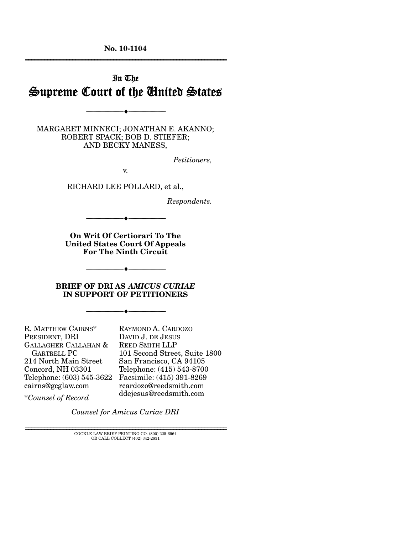**No. 10-1104**  ================================================================

# In The Supreme Court of the United States

MARGARET MINNECI; JONATHAN E. AKANNO; ROBERT SPACK; BOB D. STIEFER; AND BECKY MANESS,

--------------------------------- ♦ ---------------------------------

*Petitioners,* 

v.

RICHARD LEE POLLARD, et al.,

*Respondents.* 

**On Writ Of Certiorari To The United States Court Of Appeals For The Ninth Circuit** 

--------------------------------- ♦ ---------------------------------

**BRIEF OF DRI AS** *AMICUS CURIAE* **IN SUPPORT OF PETITIONERS** 

--------------------------------- ♦ ---------------------------------

--------------------------------- ♦ ---------------------------------

R. MATTHEW CAIRNS\* PRESIDENT, DRI GALLAGHER CALLAHAN & GARTRELL PC 214 North Main Street Concord, NH 03301 Telephone: (603) 545-3622 Facsimile: (415) 391-8269 cairns@gcglaw.com

RAYMOND A. CARDOZO DAVID J. DE JESUS REED SMITH LLP 101 Second Street, Suite 1800 San Francisco, CA 94105 Telephone: (415) 543-8700 rcardozo@reedsmith.com ddejesus@reedsmith.com

\**Counsel of Record*

*Counsel for Amicus Curiae DRI*

================================================================ COCKLE LAW BRIEF PRINTING CO. (800) 225-6964 OR CALL COLLECT (402) 342-2831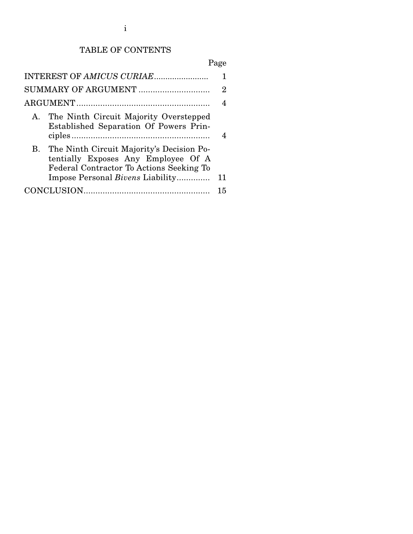# TABLE OF CONTENTS

# Page

| 2                                                                                                                               |    |  |  |  |  |
|---------------------------------------------------------------------------------------------------------------------------------|----|--|--|--|--|
|                                                                                                                                 |    |  |  |  |  |
| A. The Ninth Circuit Majority Overstepped<br>Established Separation Of Powers Prin-                                             |    |  |  |  |  |
| B. The Ninth Circuit Majority's Decision Po-<br>tentially Exposes Any Employee Of A<br>Federal Contractor To Actions Seeking To |    |  |  |  |  |
| Impose Personal <i>Bivens</i> Liability                                                                                         | 11 |  |  |  |  |
|                                                                                                                                 |    |  |  |  |  |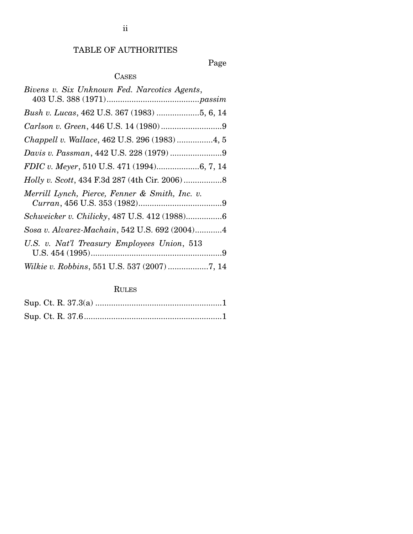# TABLE OF AUTHORITIES

# Page

# CASES

| Bivens v. Six Unknown Fed. Narcotics Agents,   |
|------------------------------------------------|
| Bush v. Lucas, 462 U.S. 367 (1983) 5, 6, 14    |
|                                                |
| Chappell v. Wallace, 462 U.S. 296 (1983)4, 5   |
| Davis v. Passman, 442 U.S. 228 (1979) 9        |
| FDIC v. Meyer, 510 U.S. 471 (1994)6, 7, 14     |
|                                                |
| Merrill Lynch, Pierce, Fenner & Smith, Inc. v. |
| Schweicker v. Chilicky, 487 U.S. 412 (1988)6   |
| Sosa v. Alvarez-Machain, 542 U.S. 692 (2004)4  |
| U.S. v. Nat'l Treasury Employees Union, 513    |
| Wilkie v. Robbins, 551 U.S. 537 (2007) 7, 14   |

# RULES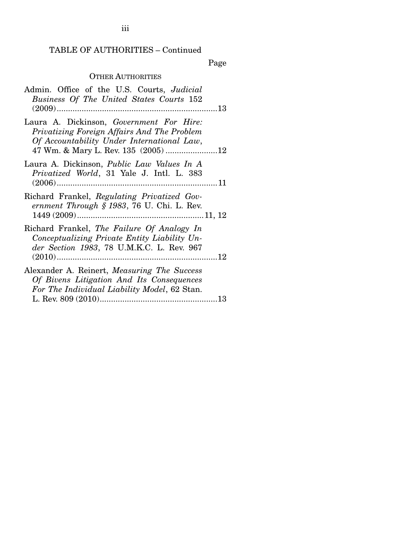## TABLE OF AUTHORITIES – Continued

Page

## OTHER AUTHORITIES

| Admin. Office of the U.S. Courts, <i>Judicial</i><br>Business Of The United States Courts 152                                                   |
|-------------------------------------------------------------------------------------------------------------------------------------------------|
| Laura A. Dickinson, Government For Hire:<br>Privatizing Foreign Affairs And The Problem<br>Of Accountability Under International Law,           |
| Laura A. Dickinson, <i>Public Law Values In A</i><br><i>Privatized World</i> , 31 Yale J. Intl. L. 383                                          |
| Richard Frankel, Regulating Privatized Gov-<br>ernment Through § 1983, 76 U. Chi. L. Rev.                                                       |
| Richard Frankel, The Failure Of Analogy In<br>Conceptualizing Private Entity Liability Un-<br>der Section 1983, 78 U.M.K.C. L. Rev. 967         |
| Alexander A. Reinert, <i>Measuring The Success</i><br>Of Bivens Litigation And Its Consequences<br>For The Individual Liability Model, 62 Stan. |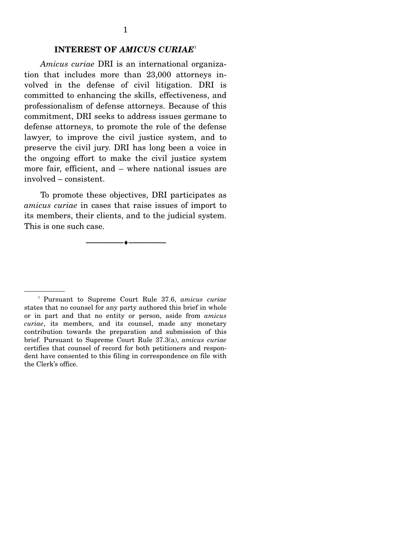### **INTEREST OF** *AMICUS CURIAE*<sup>1</sup>

*Amicus curiae* DRI is an international organization that includes more than 23,000 attorneys involved in the defense of civil litigation. DRI is committed to enhancing the skills, effectiveness, and professionalism of defense attorneys. Because of this commitment, DRI seeks to address issues germane to defense attorneys, to promote the role of the defense lawyer, to improve the civil justice system, and to preserve the civil jury. DRI has long been a voice in the ongoing effort to make the civil justice system more fair, efficient, and – where national issues are involved – consistent.

 To promote these objectives, DRI participates as *amicus curiae* in cases that raise issues of import to its members, their clients, and to the judicial system. This is one such case.

--------------------------------- ♦ ---------------------------------

1 Pursuant to Supreme Court Rule 37.6, *amicus curiae* states that no counsel for any party authored this brief in whole or in part and that no entity or person, aside from *amicus curiae*, its members, and its counsel, made any monetary contribution towards the preparation and submission of this brief. Pursuant to Supreme Court Rule 37.3(a), *amicus curiae* certifies that counsel of record for both petitioners and respondent have consented to this filing in correspondence on file with the Clerk's office.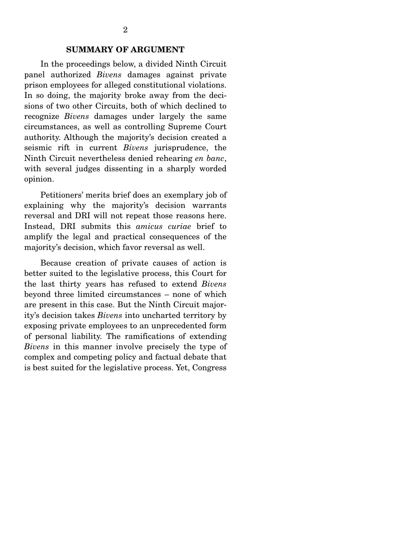### **SUMMARY OF ARGUMENT**

 In the proceedings below, a divided Ninth Circuit panel authorized *Bivens* damages against private prison employees for alleged constitutional violations. In so doing, the majority broke away from the decisions of two other Circuits, both of which declined to recognize *Bivens* damages under largely the same circumstances, as well as controlling Supreme Court authority. Although the majority's decision created a seismic rift in current *Bivens* jurisprudence, the Ninth Circuit nevertheless denied rehearing *en banc*, with several judges dissenting in a sharply worded opinion.

 Petitioners' merits brief does an exemplary job of explaining why the majority's decision warrants reversal and DRI will not repeat those reasons here. Instead, DRI submits this *amicus curiae* brief to amplify the legal and practical consequences of the majority's decision, which favor reversal as well.

 Because creation of private causes of action is better suited to the legislative process, this Court for the last thirty years has refused to extend *Bivens* beyond three limited circumstances – none of which are present in this case. But the Ninth Circuit majority's decision takes *Bivens* into uncharted territory by exposing private employees to an unprecedented form of personal liability. The ramifications of extending *Bivens* in this manner involve precisely the type of complex and competing policy and factual debate that is best suited for the legislative process. Yet, Congress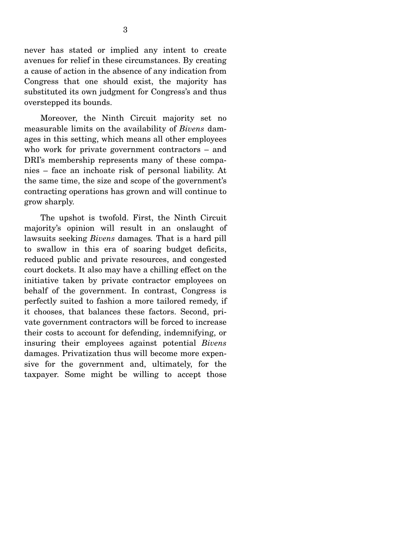never has stated or implied any intent to create avenues for relief in these circumstances. By creating a cause of action in the absence of any indication from Congress that one should exist, the majority has substituted its own judgment for Congress's and thus overstepped its bounds.

 Moreover, the Ninth Circuit majority set no measurable limits on the availability of *Bivens* damages in this setting, which means all other employees who work for private government contractors – and DRI's membership represents many of these companies – face an inchoate risk of personal liability. At the same time, the size and scope of the government's contracting operations has grown and will continue to grow sharply.

 The upshot is twofold. First, the Ninth Circuit majority's opinion will result in an onslaught of lawsuits seeking *Bivens* damages*.* That is a hard pill to swallow in this era of soaring budget deficits, reduced public and private resources, and congested court dockets. It also may have a chilling effect on the initiative taken by private contractor employees on behalf of the government. In contrast, Congress is perfectly suited to fashion a more tailored remedy, if it chooses, that balances these factors. Second, private government contractors will be forced to increase their costs to account for defending, indemnifying, or insuring their employees against potential *Bivens* damages. Privatization thus will become more expensive for the government and, ultimately, for the taxpayer. Some might be willing to accept those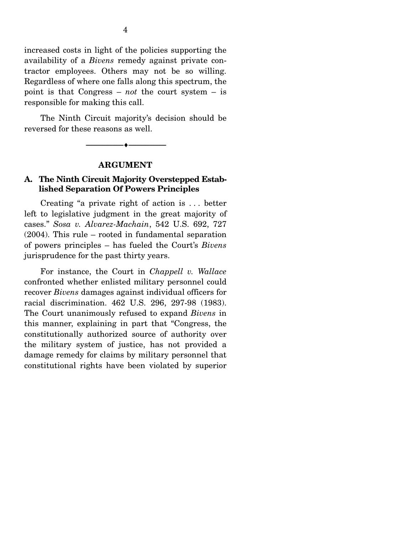increased costs in light of the policies supporting the availability of a *Bivens* remedy against private contractor employees. Others may not be so willing. Regardless of where one falls along this spectrum, the point is that Congress – *not* the court system – is responsible for making this call.

 The Ninth Circuit majority's decision should be reversed for these reasons as well.

#### **ARGUMENT**

--------------------------------- ♦ ---------------------------------

### **A. The Ninth Circuit Majority Overstepped Established Separation Of Powers Principles**

Creating "a private right of action is . . . better left to legislative judgment in the great majority of cases." *Sosa v. Alvarez-Machain*, 542 U.S. 692, 727 (2004). This rule – rooted in fundamental separation of powers principles – has fueled the Court's *Bivens* jurisprudence for the past thirty years.

 For instance, the Court in *Chappell v. Wallace* confronted whether enlisted military personnel could recover *Bivens* damages against individual officers for racial discrimination. 462 U.S. 296, 297-98 (1983). The Court unanimously refused to expand *Bivens* in this manner, explaining in part that "Congress, the constitutionally authorized source of authority over the military system of justice, has not provided a damage remedy for claims by military personnel that constitutional rights have been violated by superior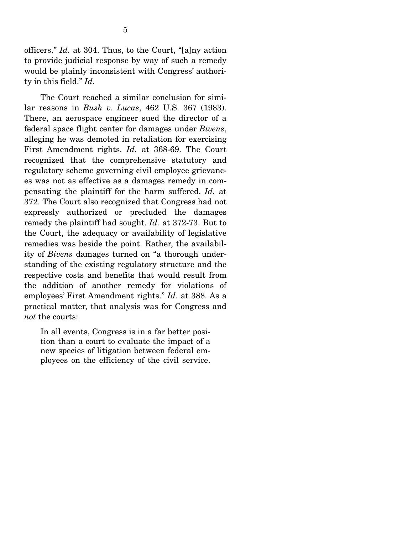officers." *Id.* at 304. Thus, to the Court, "[a]ny action to provide judicial response by way of such a remedy would be plainly inconsistent with Congress' authority in this field." *Id.*

 The Court reached a similar conclusion for similar reasons in *Bush v. Lucas*, 462 U.S. 367 (1983). There, an aerospace engineer sued the director of a federal space flight center for damages under *Bivens*, alleging he was demoted in retaliation for exercising First Amendment rights. *Id.* at 368-69. The Court recognized that the comprehensive statutory and regulatory scheme governing civil employee grievances was not as effective as a damages remedy in compensating the plaintiff for the harm suffered. *Id.* at 372. The Court also recognized that Congress had not expressly authorized or precluded the damages remedy the plaintiff had sought. *Id.* at 372-73. But to the Court, the adequacy or availability of legislative remedies was beside the point. Rather, the availability of *Bivens* damages turned on "a thorough understanding of the existing regulatory structure and the respective costs and benefits that would result from the addition of another remedy for violations of employees' First Amendment rights." *Id.* at 388. As a practical matter, that analysis was for Congress and *not* the courts:

In all events, Congress is in a far better position than a court to evaluate the impact of a new species of litigation between federal employees on the efficiency of the civil service.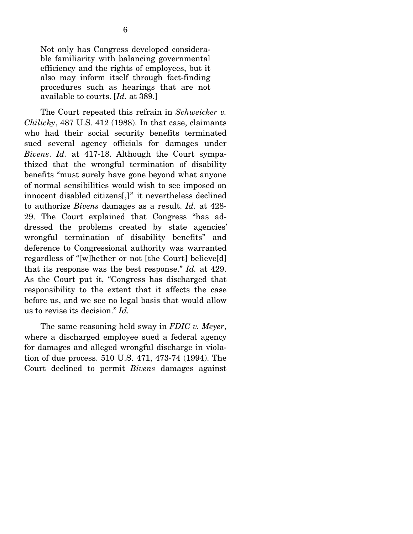Not only has Congress developed considerable familiarity with balancing governmental efficiency and the rights of employees, but it also may inform itself through fact-finding procedures such as hearings that are not available to courts. [*Id.* at 389.]

 The Court repeated this refrain in *Schweicker v. Chilicky*, 487 U.S. 412 (1988). In that case, claimants who had their social security benefits terminated sued several agency officials for damages under *Bivens*. *Id.* at 417-18. Although the Court sympathized that the wrongful termination of disability benefits "must surely have gone beyond what anyone of normal sensibilities would wish to see imposed on innocent disabled citizens[,]" it nevertheless declined to authorize *Bivens* damages as a result. *Id.* at 428- 29. The Court explained that Congress "has addressed the problems created by state agencies' wrongful termination of disability benefits" and deference to Congressional authority was warranted regardless of "[w]hether or not [the Court] believe[d] that its response was the best response." *Id.* at 429. As the Court put it, "Congress has discharged that responsibility to the extent that it affects the case before us, and we see no legal basis that would allow us to revise its decision." *Id.* 

 The same reasoning held sway in *FDIC v. Meyer*, where a discharged employee sued a federal agency for damages and alleged wrongful discharge in violation of due process. 510 U.S. 471, 473-74 (1994). The Court declined to permit *Bivens* damages against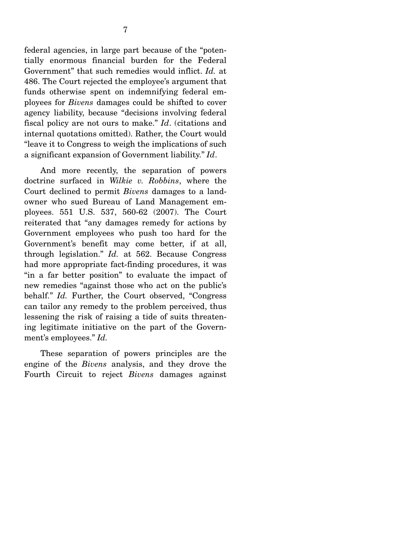federal agencies, in large part because of the "potentially enormous financial burden for the Federal Government" that such remedies would inflict. *Id.* at 486. The Court rejected the employee's argument that funds otherwise spent on indemnifying federal employees for *Bivens* damages could be shifted to cover agency liability, because "decisions involving federal fiscal policy are not ours to make." *Id*. (citations and internal quotations omitted). Rather, the Court would "leave it to Congress to weigh the implications of such a significant expansion of Government liability." *Id*.

 And more recently, the separation of powers doctrine surfaced in *Wilkie v. Robbins*, where the Court declined to permit *Bivens* damages to a landowner who sued Bureau of Land Management employees. 551 U.S. 537, 560-62 (2007). The Court reiterated that "any damages remedy for actions by Government employees who push too hard for the Government's benefit may come better, if at all, through legislation." *Id.* at 562. Because Congress had more appropriate fact-finding procedures, it was "in a far better position" to evaluate the impact of new remedies "against those who act on the public's behalf." *Id.* Further, the Court observed, "Congress can tailor any remedy to the problem perceived, thus lessening the risk of raising a tide of suits threatening legitimate initiative on the part of the Government's employees." *Id.*

 These separation of powers principles are the engine of the *Bivens* analysis, and they drove the Fourth Circuit to reject *Bivens* damages against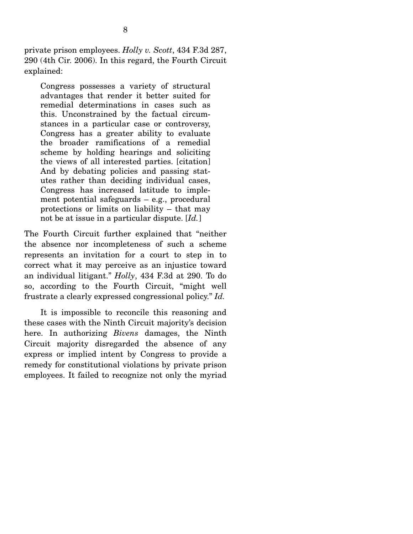private prison employees. *Holly v. Scott*, 434 F.3d 287, 290 (4th Cir. 2006). In this regard, the Fourth Circuit explained:

Congress possesses a variety of structural advantages that render it better suited for remedial determinations in cases such as this. Unconstrained by the factual circumstances in a particular case or controversy, Congress has a greater ability to evaluate the broader ramifications of a remedial scheme by holding hearings and soliciting the views of all interested parties. [citation] And by debating policies and passing statutes rather than deciding individual cases, Congress has increased latitude to implement potential safeguards – e.g., procedural protections or limits on liability – that may not be at issue in a particular dispute. [*Id.*]

The Fourth Circuit further explained that "neither the absence nor incompleteness of such a scheme represents an invitation for a court to step in to correct what it may perceive as an injustice toward an individual litigant." *Holly*, 434 F.3d at 290. To do so, according to the Fourth Circuit, "might well frustrate a clearly expressed congressional policy." *Id.*

 It is impossible to reconcile this reasoning and these cases with the Ninth Circuit majority's decision here. In authorizing *Bivens* damages, the Ninth Circuit majority disregarded the absence of any express or implied intent by Congress to provide a remedy for constitutional violations by private prison employees. It failed to recognize not only the myriad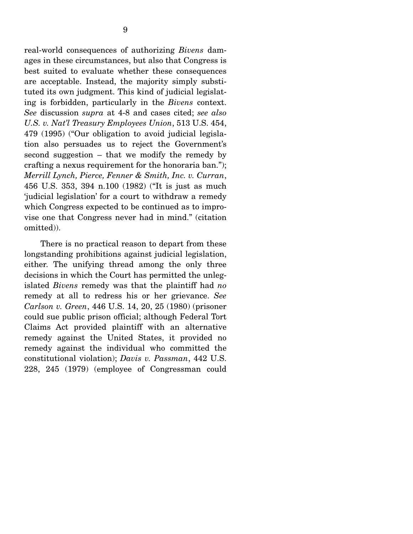real-world consequences of authorizing *Bivens* damages in these circumstances, but also that Congress is best suited to evaluate whether these consequences are acceptable. Instead, the majority simply substituted its own judgment. This kind of judicial legislating is forbidden, particularly in the *Bivens* context. *See* discussion *supra* at 4-8 and cases cited; *see also U.S. v. Nat'l Treasury Employees Union*, 513 U.S. 454, 479 (1995) ("Our obligation to avoid judicial legislation also persuades us to reject the Government's second suggestion – that we modify the remedy by crafting a nexus requirement for the honoraria ban."); *Merrill Lynch, Pierce, Fenner & Smith, Inc. v. Curran*, 456 U.S. 353, 394 n.100 (1982) ("It is just as much 'judicial legislation' for a court to withdraw a remedy which Congress expected to be continued as to improvise one that Congress never had in mind." (citation omitted)).

 There is no practical reason to depart from these longstanding prohibitions against judicial legislation, either. The unifying thread among the only three decisions in which the Court has permitted the unlegislated *Bivens* remedy was that the plaintiff had *no* remedy at all to redress his or her grievance. *See Carlson v. Green*, 446 U.S. 14, 20, 25 (1980) (prisoner could sue public prison official; although Federal Tort Claims Act provided plaintiff with an alternative remedy against the United States, it provided no remedy against the individual who committed the constitutional violation); *Davis v. Passman*, 442 U.S. 228, 245 (1979) (employee of Congressman could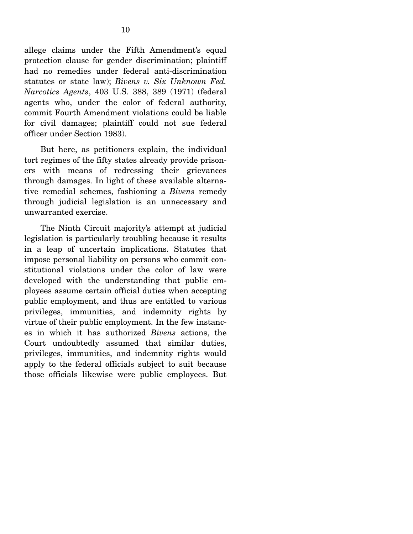allege claims under the Fifth Amendment's equal protection clause for gender discrimination; plaintiff had no remedies under federal anti-discrimination statutes or state law); *Bivens v. Six Unknown Fed. Narcotics Agents*, 403 U.S. 388, 389 (1971) (federal agents who, under the color of federal authority, commit Fourth Amendment violations could be liable for civil damages; plaintiff could not sue federal officer under Section 1983).

 But here, as petitioners explain, the individual tort regimes of the fifty states already provide prisoners with means of redressing their grievances through damages. In light of these available alternative remedial schemes, fashioning a *Bivens* remedy through judicial legislation is an unnecessary and unwarranted exercise.

 The Ninth Circuit majority's attempt at judicial legislation is particularly troubling because it results in a leap of uncertain implications. Statutes that impose personal liability on persons who commit constitutional violations under the color of law were developed with the understanding that public employees assume certain official duties when accepting public employment, and thus are entitled to various privileges, immunities, and indemnity rights by virtue of their public employment. In the few instances in which it has authorized *Bivens* actions, the Court undoubtedly assumed that similar duties, privileges, immunities, and indemnity rights would apply to the federal officials subject to suit because those officials likewise were public employees. But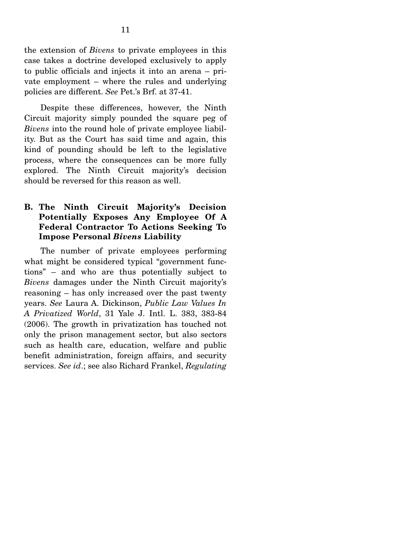the extension of *Bivens* to private employees in this case takes a doctrine developed exclusively to apply to public officials and injects it into an arena – private employment – where the rules and underlying policies are different. *See* Pet.'s Brf. at 37-41.

 Despite these differences, however, the Ninth Circuit majority simply pounded the square peg of *Bivens* into the round hole of private employee liability. But as the Court has said time and again, this kind of pounding should be left to the legislative process, where the consequences can be more fully explored. The Ninth Circuit majority's decision should be reversed for this reason as well.

### **B. The Ninth Circuit Majority's Decision Potentially Exposes Any Employee Of A Federal Contractor To Actions Seeking To Impose Personal** *Bivens* **Liability**

The number of private employees performing what might be considered typical "government functions" – and who are thus potentially subject to *Bivens* damages under the Ninth Circuit majority's reasoning – has only increased over the past twenty years. *See* Laura A. Dickinson, *Public Law Values In A Privatized World*, 31 Yale J. Intl. L. 383, 383-84 (2006). The growth in privatization has touched not only the prison management sector, but also sectors such as health care, education, welfare and public benefit administration, foreign affairs, and security services. *See id*.; see also Richard Frankel, *Regulating*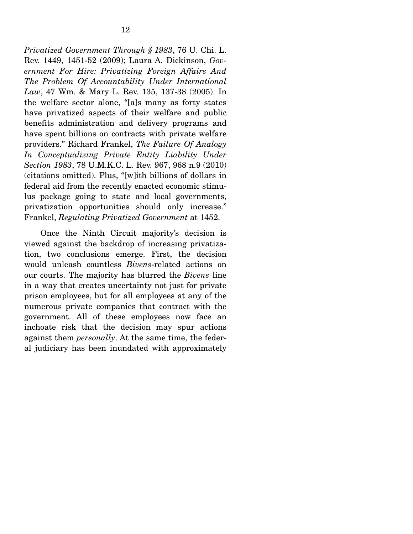*Privatized Government Through § 1983*, 76 U. Chi. L. Rev. 1449, 1451-52 (2009); Laura A. Dickinson, *Government For Hire: Privatizing Foreign Affairs And The Problem Of Accountability Under International Law*, 47 Wm. & Mary L. Rev. 135, 137-38 (2005). In the welfare sector alone, "[a]s many as forty states have privatized aspects of their welfare and public benefits administration and delivery programs and have spent billions on contracts with private welfare providers." Richard Frankel, *The Failure Of Analogy In Conceptualizing Private Entity Liability Under Section 1983*, 78 U.M.K.C. L. Rev. 967, 968 n.9 (2010) (citations omitted). Plus, "[w]ith billions of dollars in federal aid from the recently enacted economic stimulus package going to state and local governments, privatization opportunities should only increase." Frankel, *Regulating Privatized Government* at 1452.

 Once the Ninth Circuit majority's decision is viewed against the backdrop of increasing privatization, two conclusions emerge. First, the decision would unleash countless *Bivens*-related actions on our courts. The majority has blurred the *Bivens* line in a way that creates uncertainty not just for private prison employees, but for all employees at any of the numerous private companies that contract with the government. All of these employees now face an inchoate risk that the decision may spur actions against them *personally*. At the same time, the federal judiciary has been inundated with approximately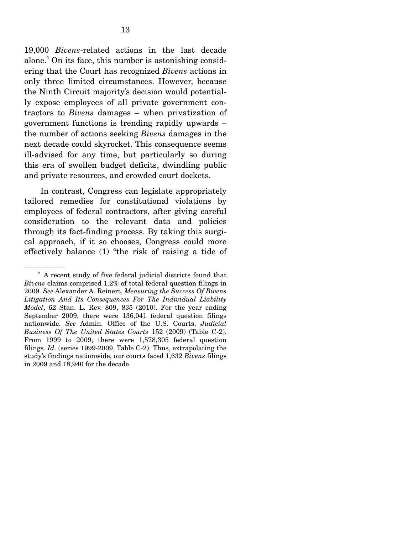19,000 *Bivens*-related actions in the last decade alone.<sup>2</sup> On its face, this number is astonishing considering that the Court has recognized *Bivens* actions in only three limited circumstances. However, because the Ninth Circuit majority's decision would potentially expose employees of all private government contractors to *Bivens* damages – when privatization of government functions is trending rapidly upwards – the number of actions seeking *Bivens* damages in the next decade could skyrocket. This consequence seems ill-advised for any time, but particularly so during this era of swollen budget deficits, dwindling public and private resources, and crowded court dockets.

 In contrast, Congress can legislate appropriately tailored remedies for constitutional violations by employees of federal contractors, after giving careful consideration to the relevant data and policies through its fact-finding process. By taking this surgical approach, if it so chooses, Congress could more effectively balance (1) "the risk of raising a tide of

 $2^2$  A recent study of five federal judicial districts found that *Bivens* claims comprised 1.2% of total federal question filings in 2009. *See* Alexander A. Reinert, *Measuring the Success Of Bivens Litigation And Its Consequences For The Individual Liability Model*, 62 Stan. L. Rev. 809, 835 (2010). For the year ending September 2009, there were 136,041 federal question filings nationwide. *See* Admin. Office of the U.S. Courts, *Judicial Business Of The United States Courts* 152 (2009) (Table C-2). From 1999 to 2009, there were 1,578,305 federal question filings. *Id*. (series 1999-2009, Table C-2). Thus, extrapolating the study's findings nationwide, our courts faced 1,632 *Bivens* filings in 2009 and 18,940 for the decade.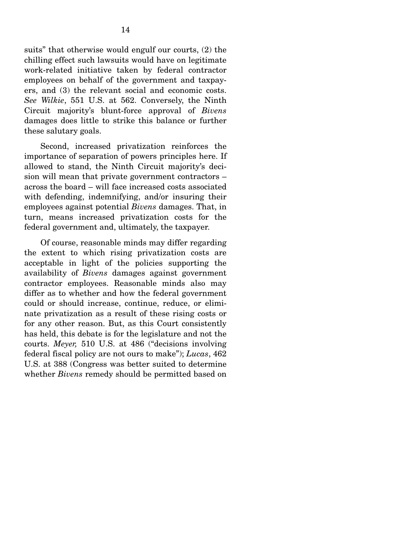suits" that otherwise would engulf our courts, (2) the chilling effect such lawsuits would have on legitimate work-related initiative taken by federal contractor employees on behalf of the government and taxpayers, and (3) the relevant social and economic costs. *See Wilkie*, 551 U.S. at 562. Conversely, the Ninth Circuit majority's blunt-force approval of *Bivens* damages does little to strike this balance or further these salutary goals.

 Second, increased privatization reinforces the importance of separation of powers principles here. If allowed to stand, the Ninth Circuit majority's decision will mean that private government contractors – across the board – will face increased costs associated with defending, indemnifying, and/or insuring their employees against potential *Bivens* damages. That, in turn, means increased privatization costs for the federal government and, ultimately, the taxpayer.

 Of course, reasonable minds may differ regarding the extent to which rising privatization costs are acceptable in light of the policies supporting the availability of *Bivens* damages against government contractor employees. Reasonable minds also may differ as to whether and how the federal government could or should increase, continue, reduce, or eliminate privatization as a result of these rising costs or for any other reason. But, as this Court consistently has held, this debate is for the legislature and not the courts. *Meyer,* 510 U.S. at 486 ("decisions involving federal fiscal policy are not ours to make"); *Lucas*, 462 U.S. at 388 (Congress was better suited to determine whether *Bivens* remedy should be permitted based on